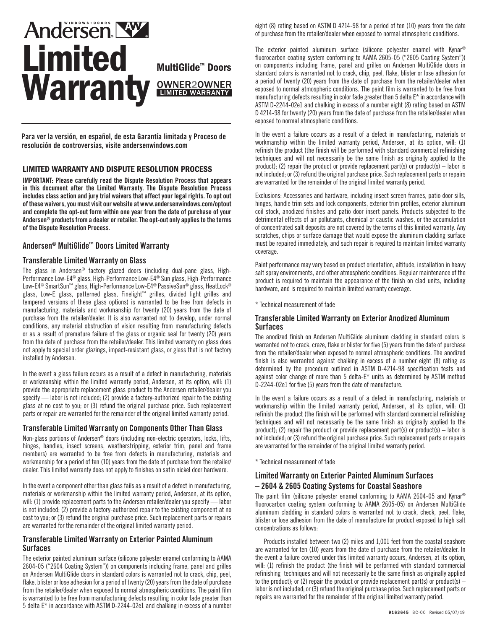# **Andersen NW.** Limited<br>Warranty **eWNER20WNER Warranty**

Para ver la versión, en español, de esta Garantía limitada y Proceso de resolución de controversias, visite andersenwindows.com

# LIMITED WARRANTY AND DISPUTE RESOLUTION PROCESS

IMPORTANT: Please carefully read the Dispute Resolution Process that appears in this document after the Limited Warranty. The Dispute Resolution Process includes class action and jury trial waivers that affect your legal rights. To opt out of these waivers, you must visit our website at www.andersenwindows.com/optout and complete the opt-out form within one year from the date of purchase of your Andersen® products from a dealer or retailer. The opt-out only applies to the terms of the Dispute Resolution Process.

# Andersen® MultiGlide™ Doors Limited Warranty

#### Transferable Limited Warranty on Glass

The glass in Andersen® factory glazed doors (including dual-pane glass, High-Performance Low-E4® glass, High-Performance Low-E4® Sun glass, High-Performance Low-E4® SmartSun™ glass, High-Performance Low-E4® PassiveSun® glass, HeatLock® glass, Low-E glass, patterned glass, Finelight™ grilles, divided light grilles and tempered versions of these glass options) is warranted to be free from defects in manufacturing, materials and workmanship for twenty (20) years from the date of purchase from the retailer/dealer. It is also warranted not to develop, under normal conditions, any material obstruction of vision resulting from manufacturing defects or as a result of premature failure of the glass or organic seal for twenty (20) years from the date of purchase from the retailer/dealer. This limited warranty on glass does not apply to special order glazings, impact-resistant glass, or glass that is not factory installed by Andersen.

In the event a glass failure occurs as a result of a defect in manufacturing, materials or workmanship within the limited warranty period, Andersen, at its option, will: (1) provide the appropriate replacement glass product to the Andersen retailer/dealer you specify — labor is not included; (2) provide a factory-authorized repair to the existing glass at no cost to you; or (3) refund the original purchase price. Such replacement parts or repair are warranted for the remainder of the original limited warranty period.

# Transferable Limited Warranty on Components Other Than Glass

Non-glass portions of Andersen® doors (including non-electric operators, locks, lifts, hinges, handles, insect screens, weatherstripping, exterior trim, panel and frame members) are warranted to be free from defects in manufacturing, materials and workmanship for a period of ten (10) years from the date of purchase from the retailer/ dealer. This limited warranty does not apply to finishes on satin nickel door hardware.

In the event a component other than glass fails as a result of a defect in manufacturing, materials or workmanship within the limited warranty period, Andersen, at its option, will: (1) provide replacement parts to the Andersen retailer/dealer you specify — labor is not included; (2) provide a factory-authorized repair to the existing component at no cost to you; or (3) refund the original purchase price. Such replacement parts or repairs are warranted for the remainder of the original limited warranty period.

#### Transferable Limited Warranty on Exterior Painted Aluminum **Surfaces**

The exterior painted aluminum surface (silicone polyester enamel conforming to AAMA 2604-05 ("2604 Coating System")) on components including frame, panel and grilles on Andersen MultiGlide doors in standard colors is warranted not to crack, chip, peel, flake, blister or lose adhesion for a period of twenty (20) years from the date of purchase from the retailer/dealer when exposed to normal atmospheric conditions. The paint film is warranted to be free from manufacturing defects resulting in color fade greater than 5 delta E\* in accordance with ASTM D-2244-02e1 and chalking in excess of a number

eight (8) rating based on ASTM D 4214-98 for a period of ten (10) years from the date of purchase from the retailer/dealer when exposed to normal atmospheric conditions.

The exterior painted aluminum surface (silicone polyester enamel with Kynar® fluorocarbon coating system conforming to AAMA 2605-05 ("2605 Coating System")) on components including frame, panel and grilles on Andersen MultiGlide doors in standard colors is warranted not to crack, chip, peel, flake, blister or lose adhesion for a period of twenty (20) years from the date of purchase from the retailer/dealer when exposed to normal atmospheric conditions. The paint film is warranted to be free from manufacturing defects resulting in color fade greater than 5 delta E\* in accordance with ASTM D-2244-02e1 and chalking in excess of a number eight (8) rating based on ASTM D 4214-98 for twenty (20) years from the date of purchase from the retailer/dealer when exposed to normal atmospheric conditions.

In the event a failure occurs as a result of a defect in manufacturing, materials or workmanship within the limited warranty period, Andersen, at its option, will: (1) refinish the product (the finish will be performed with standard commercial refinishing techniques and will not necessarily be the same finish as originally applied to the product); (2) repair the product or provide replacement part(s) or product(s) – labor is not included; or (3) refund the original purchase price. Such replacement parts or repairs are warranted for the remainder of the original limited warranty period.

Exclusions: Accessories and hardware, including insect screen frames, patio door sills, hinges, handle trim sets and lock components, exterior trim profiles, exterior aluminum coil stock, anodized finishes and patio door insert panels. Products subjected to the detrimental effects of air pollutants, chemical or caustic washes, or the accumulation of concentrated salt deposits are not covered by the terms of this limited warranty. Any scratches, chips or surface damage that would expose the aluminum cladding surface must be repaired immediately, and such repair is required to maintain limited warranty coverage.

Paint performance may vary based on product orientation, altitude, installation in heavy salt spray environments, and other atmospheric conditions. Regular maintenance of the product is required to maintain the appearance of the finish on clad units, including hardware, and is required to maintain limited warranty coverage.

\* Technical measurement of fade

# Transferable Limited Warranty on Exterior Anodized Aluminum **Surfaces**

The anodized finish on Andersen MultiGlide aluminum cladding in standard colors is warranted not to crack, craze, flake or blister for five (5) years from the date of purchase from the retailer/dealer when exposed to normal atmospheric conditions. The anodized finish is also warranted against chalking in excess of a number eight (8) rating as determined by the procedure outlined in ASTM D-4214-98 specification tests and against color change of more than 5 delta-E\* units as determined by ASTM method D-2244-02e1 for five (5) years from the date of manufacture.

In the event a failure occurs as a result of a defect in manufacturing, materials or workmanship within the limited warranty period, Andersen, at its option, will: (1) refinish the product (the finish will be performed with standard commercial refinishing techniques and will not necessarily be the same finish as originally applied to the product); (2) repair the product or provide replacement part(s) or product(s) – labor is not included; or (3) refund the original purchase price. Such replacement parts or repairs are warranted for the remainder of the original limited warranty period.

\* Technical measurement of fade

# Limited Warranty on Exterior Painted Aluminum Surfaces – 2604 & 2605 Coating Systems for Coastal Seashore

The paint film (silicone polyester enamel conforming to AAMA 2604-05 and Kynar® fluorocarbon coating system conforming to AAMA 2605-05) on Andersen MultiGlide aluminum cladding in standard colors is warranted not to crack, check, peel, flake, blister or lose adhesion from the date of manufacture for product exposed to high salt concentrations as follows:

— Products installed between two (2) miles and 1,001 feet from the coastal seashore are warranted for ten (10) years from the date of purchase from the retailer/dealer. In the event a failure covered under this limited warranty occurs, Andersen, at its option, will: (1) refinish the product (the finish will be performed with standard commercial refinishing techniques and will not necessarily be the same finish as originally applied to the product); or (2) repair the product or provide replacement part(s) or product(s)  $$ labor is not included; or (3) refund the original purchase price. Such replacement parts or repairs are warranted for the remainder of the original limited warranty period.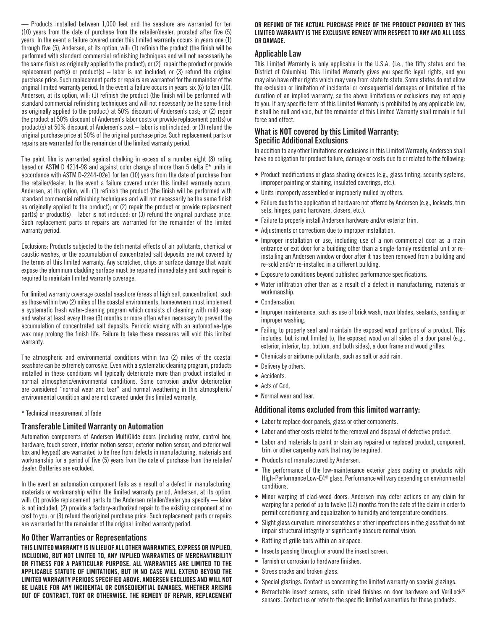— Products installed between 1,000 feet and the seashore are warranted for ten (10) years from the date of purchase from the retailer/dealer, prorated after five (5) years. In the event a failure covered under this limited warranty occurs in years one (1) through five (5), Andersen, at its option, will: (1) refinish the product (the finish will be performed with standard commercial refinishing techniques and will not necessarily be the same finish as originally applied to the product); or (2) repair the product or provide replacement part(s) or product(s) – labor is not included; or (3) refund the original purchase price. Such replacement parts or repairs are warranted for the remainder of the original limited warranty period. In the event a failure occurs in years six (6) to ten (10), Andersen, at its option, will: (1) refinish the product (the finish will be performed with standard commercial refinishing techniques and will not necessarily be the same finish as originally applied to the product) at 50% discount of Andersen's cost; or (2) repair the product at 50% discount of Andersen's labor costs or provide replacement part(s) or product(s) at 50% discount of Andersen's cost – labor is not included; or (3) refund the original purchase price at 50% of the original purchase price. Such replacement parts or repairs are warranted for the remainder of the limited warranty period.

The paint film is warranted against chalking in excess of a number eight (8) rating based on ASTM D 4214-98 and against color change of more than 5 delta E\* units in accordance with ASTM D-2244-02e1 for ten (10) years from the date of purchase from the retailer/dealer. In the event a failure covered under this limited warranty occurs, Andersen, at its option, will: (1) refinish the product (the finish will be performed with standard commercial refinishing techniques and will not necessarily be the same finish as originally applied to the product); or (2) repair the product or provide replacement part(s) or product(s)  $-$  labor is not included; or (3) refund the original purchase price. Such replacement parts or repairs are warranted for the remainder of the limited warranty period.

Exclusions: Products subjected to the detrimental effects of air pollutants, chemical or caustic washes, or the accumulation of concentrated salt deposits are not covered by the terms of this limited warranty. Any scratches, chips or surface damage that would expose the aluminum cladding surface must be repaired immediately and such repair is required to maintain limited warranty coverage.

For limited warranty coverage coastal seashore (areas of high salt concentration), such as those within two (2) miles of the coastal environments, homeowners must implement a systematic fresh water-cleaning program which consists of cleaning with mild soap and water at least every three (3) months or more often when necessary to prevent the accumulation of concentrated salt deposits. Periodic waxing with an automotive-type wax may prolong the finish life. Failure to take these measures will void this limited warranty.

The atmospheric and environmental conditions within two (2) miles of the coastal seashore can be extremely corrosive. Even with a systematic cleaning program, products installed in these conditions will typically deteriorate more than product installed in normal atmospheric/environmental conditions. Some corrosion and/or deterioration are considered "normal wear and tear" and normal weathering in this atmospheric/ environmental condition and are not covered under this limited warranty.

#### \* Technical measurement of fade

#### Transferable Limited Warranty on Automation

Automation components of Andersen MultiGlide doors (including motor, control box, hardware, touch screen, interior motion sensor, exterior motion sensor, and exterior wall box and keypad) are warranted to be free from defects in manufacturing, materials and workmanship for a period of five (5) years from the date of purchase from the retailer/ dealer. Batteries are excluded.

In the event an automation component fails as a result of a defect in manufacturing, materials or workmanship within the limited warranty period, Andersen, at its option, will: (1) provide replacement parts to the Andersen retailer/dealer you specify — labor is not included; (2) provide a factory-authorized repair to the existing component at no cost to you; or (3) refund the original purchase price. Such replacement parts or repairs are warranted for the remainder of the original limited warranty period.

#### No Other Warranties or Representations

THIS LIMITED WARRANTY IS IN LIEU OF ALL OTHER WARRANTIES, EXPRESS OR IMPLIED, INCLUDING, BUT NOT LIMITED TO, ANY IMPLIED WARRANTIES OF MERCHANTABILITY OR FITNESS FOR A PARTICULAR PURPOSE. ALL WARRANTIES ARE LIMITED TO THE APPLICABLE STATUTE OF LIMITATIONS, BUT IN NO CASE WILL EXTEND BEYOND THE LIMITED WARRANTY PERIODS SPECIFIED ABOVE. ANDERSEN EXCLUDES AND WILL NOT BE LIABLE FOR ANY INCIDENTAL OR CONSEQUENTIAL DAMAGES, WHETHER ARISING OUT OF CONTRACT, TORT OR OTHERWISE. THE REMEDY OF REPAIR, REPLACEMENT

#### OR REFUND OF THE ACTUAL PURCHASE PRICE OF THE PRODUCT PROVIDED BY THIS LIMITED WARRANTY IS THE EXCLUSIVE REMEDY WITH RESPECT TO ANY AND ALL LOSS OR DAMAGE.

# Applicable Law

This Limited Warranty is only applicable in the U.S.A. (i.e., the fifty states and the District of Columbia). This Limited Warranty gives you specific legal rights, and you may also have other rights which may vary from state to state. Some states do not allow the exclusion or limitation of incidental or consequential damages or limitation of the duration of an implied warranty, so the above limitations or exclusions may not apply to you. If any specific term of this Limited Warranty is prohibited by any applicable law, it shall be null and void, but the remainder of this Limited Warranty shall remain in full force and effect.

#### What is NOT covered by this Limited Warranty: Specific Additional Exclusions

In addition to any other limitations or exclusions in this Limited Warranty, Andersen shall have no obligation for product failure, damage or costs due to or related to the following:

- Product modifications or glass shading devices (e.g., glass tinting, security systems, improper painting or staining, insulated coverings, etc.).
- Units improperly assembled or improperly mulled by others.
- Failure due to the application of hardware not offered by Andersen (e.g., locksets, trim sets, hinges, panic hardware, closers, etc.).
- Failure to properly install Andersen hardware and/or exterior trim.
- Adjustments or corrections due to improper installation.
- Improper installation or use, including use of a non-commercial door as a main entrance or exit door for a building other than a single-family residential unit or reinstalling an Andersen window or door after it has been removed from a building and re-sold and/or re-installed in a different building.
- Exposure to conditions beyond published performance specifications.
- Water infiltration other than as a result of a defect in manufacturing, materials or workmanship.
- Condensation.
- Improper maintenance, such as use of brick wash, razor blades, sealants, sanding or improper washing.
- Failing to properly seal and maintain the exposed wood portions of a product. This includes, but is not limited to, the exposed wood on all sides of a door panel (e.g., exterior, interior, top, bottom, and both sides), a door frame and wood grilles.
- Chemicals or airborne pollutants, such as salt or acid rain.
- Delivery by others.
- Accidents.
- Acts of God.
- Normal wear and tear.

#### Additional items excluded from this limited warranty:

- Labor to replace door panels, glass or other components.
- Labor and other costs related to the removal and disposal of defective product.
- Labor and materials to paint or stain any repaired or replaced product, component, trim or other carpentry work that may be required.
- Products not manufactured by Andersen.
- The performance of the low-maintenance exterior glass coating on products with High-Performance Low-E4® glass. Performance will vary depending on environmental conditions.
- Minor warping of clad-wood doors. Andersen may defer actions on any claim for warping for a period of up to twelve (12) months from the date of the claim in order to permit conditioning and equalization to humidity and temperature conditions.
- Slight glass curvature, minor scratches or other imperfections in the glass that do not impair structural integrity or significantly obscure normal vision.
- Rattling of grille bars within an air space.
- Insects passing through or around the insect screen.
- Tarnish or corrosion to hardware finishes.
- Stress cracks and broken glass.
- Special glazings. Contact us concerning the limited warranty on special glazings.
- Retractable insect screens, satin nickel finishes on door hardware and VeriLock® sensors. Contact us or refer to the specific limited warranties for these products.